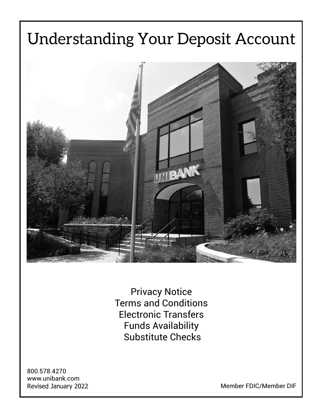# Understanding Your Deposit Account TIBANK

Privacy Notice Terms and Conditions Electronic Transfers Funds Availability Substitute Checks

800.578.4270 www.unibank.com

Revised January 2022 **Member FDIC/Member DIF**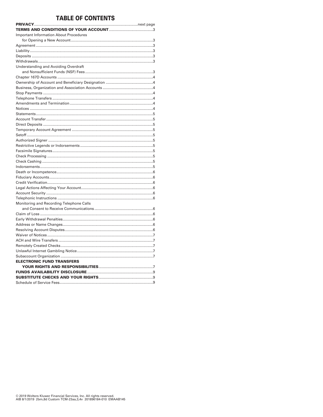# **TABLE OF CONTENTS**

| <b>Important Information About Procedures</b> |
|-----------------------------------------------|
|                                               |
|                                               |
|                                               |
|                                               |
|                                               |
| Understanding and Avoiding Overdraft          |
|                                               |
|                                               |
|                                               |
|                                               |
|                                               |
|                                               |
|                                               |
|                                               |
|                                               |
|                                               |
|                                               |
|                                               |
|                                               |
|                                               |
|                                               |
|                                               |
|                                               |
|                                               |
|                                               |
|                                               |
|                                               |
|                                               |
|                                               |
|                                               |
| Monitoring and Recording Telephone Calls      |
|                                               |
|                                               |
|                                               |
|                                               |
|                                               |
|                                               |
|                                               |
|                                               |
|                                               |
|                                               |
| <b>ELECTRONIC FUND TRANSFERS</b>              |
|                                               |
|                                               |
|                                               |
|                                               |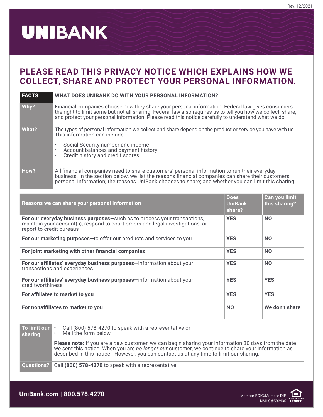# **UNIBANK**

# **PLEASE READ THIS PRIVACY NOTICE WHICH EXPLAINS HOW WE COLLECT, SHARE AND PROTECT YOUR PERSONAL INFORMATION.**

| <b>FACTS</b>                                                                                                                                                                                                      | <b>WHAT DOES UNIBANK DO WITH YOUR PERSONAL INFORMATION?</b>                                                                                                                                                                                                                                                            |                                         |                                |  |  |  |  |
|-------------------------------------------------------------------------------------------------------------------------------------------------------------------------------------------------------------------|------------------------------------------------------------------------------------------------------------------------------------------------------------------------------------------------------------------------------------------------------------------------------------------------------------------------|-----------------------------------------|--------------------------------|--|--|--|--|
| Why?                                                                                                                                                                                                              | Financial companies choose how they share your personal information. Federal law gives consumers<br>the right to limit some but not all sharing. Federal law also requires us to tell you how we collect, share,<br>and protect your personal information. Please read this notice carefully to understand what we do. |                                         |                                |  |  |  |  |
| What?                                                                                                                                                                                                             | The types of personal information we collect and share depend on the product or service you have with us.<br>This information can include:<br>Social Security number and income<br>Account balances and payment history<br>$\bullet$<br>Credit history and credit scores                                               |                                         |                                |  |  |  |  |
| How?                                                                                                                                                                                                              | All financial companies need to share customers' personal information to run their everyday<br>business. In the section below, we list the reasons financial companies can share their customers'<br>personal information; the reasons UniBank chooses to share; and whether you can limit this sharing.               |                                         |                                |  |  |  |  |
|                                                                                                                                                                                                                   | Reasons we can share your personal information                                                                                                                                                                                                                                                                         | <b>Does</b><br><b>UniBank</b><br>share? | Can you limit<br>this sharing? |  |  |  |  |
| <b>YES</b><br>For our everyday business purposes-such as to process your transactions,<br><b>NO</b><br>maintain your account(s), respond to court orders and legal investigations, or<br>report to credit bureaus |                                                                                                                                                                                                                                                                                                                        |                                         |                                |  |  |  |  |
| For our marketing purposes-to offer our products and services to you<br><b>YES</b><br><b>NO</b>                                                                                                                   |                                                                                                                                                                                                                                                                                                                        |                                         |                                |  |  |  |  |
| For joint marketing with other financial companies<br><b>YES</b><br><b>NO</b>                                                                                                                                     |                                                                                                                                                                                                                                                                                                                        |                                         |                                |  |  |  |  |
| For our affiliates' everyday business purposes-information about your<br><b>YES</b><br><b>NO</b><br>transactions and experiences                                                                                  |                                                                                                                                                                                                                                                                                                                        |                                         |                                |  |  |  |  |
| For our affiliates' everyday business purposes-information about your<br><b>YES</b><br><b>YES</b><br>creditworthiness                                                                                             |                                                                                                                                                                                                                                                                                                                        |                                         |                                |  |  |  |  |
|                                                                                                                                                                                                                   | <b>YES</b><br><b>YES</b><br>For affiliates to market to you                                                                                                                                                                                                                                                            |                                         |                                |  |  |  |  |
|                                                                                                                                                                                                                   | For nonaffiliates to market to you                                                                                                                                                                                                                                                                                     | <b>NO</b>                               | We don't share                 |  |  |  |  |
| To limit our<br>sharing                                                                                                                                                                                           | Call (800) 578-4270 to speak with a representative or<br>Mail the form below                                                                                                                                                                                                                                           |                                         |                                |  |  |  |  |
|                                                                                                                                                                                                                   | Please note: If you are a new customer, we can begin sharing your information 30 days from the date<br>we sent this notice. When you are no longer our customer, we continue to share your information as<br>described in this notice. However, you can contact us at any time to limit our sharing.                   |                                         |                                |  |  |  |  |

**Questions?** Call **(800) 578-4270** to speak with a representative.

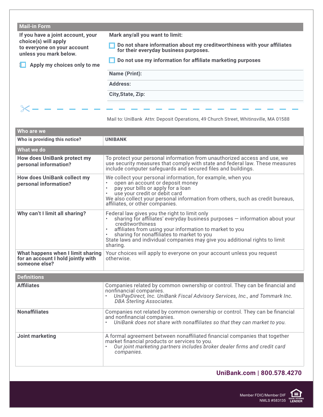| If you have a joint account, your<br>choice(s) will apply<br>to everyone on your account<br>unless you mark below.<br>Apply my choices only to me | Mark any/all you want to limit:<br>Do not share information about my creditworthiness with your affiliates<br>for their everyday business purposes.<br>Do not use my information for affiliate marketing purposes |
|---------------------------------------------------------------------------------------------------------------------------------------------------|-------------------------------------------------------------------------------------------------------------------------------------------------------------------------------------------------------------------|
|                                                                                                                                                   |                                                                                                                                                                                                                   |
|                                                                                                                                                   | Name (Print):                                                                                                                                                                                                     |
| <b>Address:</b>                                                                                                                                   | City, State, Zip:                                                                                                                                                                                                 |

Mail to: UniBank Attn: Deposit Operations, 49 Church Street, Whitinsville, MA 01588

| Who are we                                                                               |                                                                                                                                                                                                                                                                                                                                                      |
|------------------------------------------------------------------------------------------|------------------------------------------------------------------------------------------------------------------------------------------------------------------------------------------------------------------------------------------------------------------------------------------------------------------------------------------------------|
| Who is providing this notice?                                                            | <b>UNIBANK</b>                                                                                                                                                                                                                                                                                                                                       |
| What we do                                                                               |                                                                                                                                                                                                                                                                                                                                                      |
| <b>How does UniBank protect my</b><br>personal information?                              | To protect your personal information from unauthorized access and use, we<br>use security measures that comply with state and federal law. These measures<br>include computer safequards and secured files and buildings.                                                                                                                            |
| <b>How does UniBank collect my</b><br>personal information?                              | We collect your personal information, for example, when you<br>open an account or deposit money<br>pay your bills or apply for a loan<br>$\bullet$<br>use your credit or debit card<br>We also collect your personal information from others, such as credit bureaus,<br>affiliates, or other companies.                                             |
| Why can't I limit all sharing?                                                           | Federal law gives you the right to limit only<br>sharing for affiliates' everyday business purposes - information about your<br>creditworthiness<br>affiliates from using your information to market to you<br>sharing for nonaffiliates to market to you<br>State laws and individual companies may give you additional rights to limit<br>sharing. |
| What happens when I limit sharing<br>for an account I hold jointly with<br>someone else? | Your choices will apply to everyone on your account unless you request<br>otherwise.                                                                                                                                                                                                                                                                 |
| <b>Definitions</b>                                                                       |                                                                                                                                                                                                                                                                                                                                                      |
| <b>Affiliates</b>                                                                        | Companies related by common ownership or control. They can be financial and<br>nonfinancial companies.<br>UniPayDirect, Inc. UniBank Fiscal Advisory Services, Inc., and Tommark Inc.<br>DBA Sterling Associates.                                                                                                                                    |
| <b>Nonaffiliates</b>                                                                     | Companies not related by common ownership or control. They can be financial<br>and nonfinancial companies.<br>UniBank does not share with nonaffiliates so that they can market to you.                                                                                                                                                              |
| <b>Joint marketing</b>                                                                   | A formal agreement between nonaffiliated financial companies that together<br>market financial products or services to you.<br>Our joint marketing partners includes broker dealer firms and credit card<br>companies.                                                                                                                               |

# **UniBank.com | 800.578.4270**

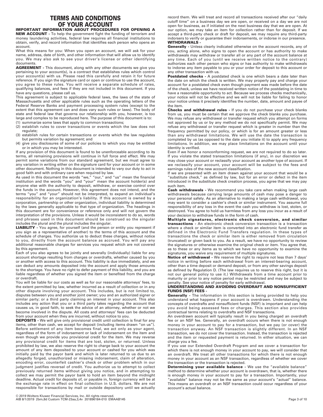### **TERMS AND CONDITIONS OF YOUR ACCOUNT**

**IMPORTANT INFORMATION ABOUT PROCEDURES FOR OPENING A** 

**NEW ACCOUNT -** To help the government fight the funding of terrorism and money laundering activities, federal law requires all financial institutions to obtain, verify, and record information that identifies each person who opens an account.

What this means for you: When you open an account, we will ask for your name, address, date of birth, and other information that will allow us to identify you. We may also ask to see your driver's license or other identifying documents.

**AGREEMENT -** This document, along with any other documents we give you pertaining to your account(s), is a contract that establishes rules which control your account(s) with us. Please read this carefully and retain it for future reference. If you sign the signature card or open or continue to use the account, you agree to these rules. You will receive a separate schedule of rates, qualifying balances, and fees if they are not included in this document. If you have any questions, please call us.

This agreement is subject to applicable federal laws, the laws of the state of Massachusetts and other applicable rules such as the operating letters of the Federal Reserve Banks and payment processing system rules (except to the extent that this agreement can and does vary such rules or laws). The body of state and federal law that governs our relationship with you, however, is too large and complex to be reproduced here. The purpose of this document is to:

- (1) summarize some laws that apply to common transactions;
- (2) establish rules to cover transactions or events which the law does not regulate;

(3) establish rules for certain transactions or events which the law regulates but permits variation by agreement; and

(4) give you disclosures of some of our policies to which you may be entitled or in which you may be interested.

If any provision of this document is found to be unenforceable according to its terms, all remaining provisions will continue in full force and effect. We may permit some variations from our standard agreement, but we must agree to any variation in writing either on the signature card for your account or in some other document. Nothing in this document is intended to vary our duty to act in good faith and with ordinary care when required by law.

As used in this document the words "we," "our," and "us" mean the financial institution and the words "you" and "your" mean the account holder(s) and anyone else with the authority to deposit, withdraw, or exercise control over the funds in the account. However, this agreement does not intend, and the terms "you" and "your" should not be interpreted, to expand an individual's responsibility for an organization's liability. If this account is owned by a corporation, partnership or other organization, individual liability is determined by the laws generally applicable to that type of organization. The headings in this document are for convenience or reference only and will not govern the interpretation of the provisions. Unless it would be inconsistent to do so, words and phrases used in this document should be construed so the singular includes the plural and the plural includes the singular.

**LIABILITY -** You agree, for yourself (and the person or entity you represent if you sign as a representative of another) to the terms of this account and the schedule of charges. You authorize us to deduct these charges, without notice to you, directly from the account balance as accrued. You will pay any additional reasonable charges for services you request which are not covered by this agreement.

Each of you also agrees to be jointly and severally (individually) liable for any account shortage resulting from charges or overdrafts, whether caused by you or another with access to this account. This liability is due immediately, and we can deduct any amounts deposited into the account and apply those amounts to the shortage. You have no right to defer payment of this liability, and you are liable regardless of whether you signed the item or benefited from the charge or overdraft.

You will be liable for our costs as well as for our reasonable attorneys' fees, to the extent permitted by law, whether incurred as a result of collection or in any other dispute involving your account. This includes, but is not limited to, disputes between you and another joint owner; you and an authorized signer or similar party; or a third party claiming an interest in your account. This also includes any action that you or a third party takes regarding the account that causes us, in good faith, to seek the advice of an attorney, whether or not we become involved in the dispute. All costs and attorneys' fees can be deducted from your account when they are incurred, without notice to you.

**DEPOSITS -** We will give only provisional credit until collection is final for any items, other than cash, we accept for deposit (including items drawn "on us"). Before settlement of any item becomes final, we act only as your agent, regardless of the form of indorsement or lack of indorsement on the item and even though we provide you provisional credit for the item. We may reverse any provisional credit for items that are lost, stolen, or returned. Unless prohibited by law, we also reserve the right to charge back to your account the amount of any item deposited to your account or cashed for you which was initially paid by the payor bank and which is later returned to us due to an allegedly forged, unauthorized or missing indorsement, claim of alteration, encoding error, counterfeit cashier's check or other problem which in our judgment justifies reversal of credit. You authorize us to attempt to collect previously returned items without giving you notice, and in attempting to collect we may permit the payor bank to hold an item beyond the midnight deadline. Actual credit for deposits of, or payable in, foreign currency will be at the exchange rate in effect on final collection in U.S. dollars. We are not responsible for transactions by mail or outside depository until we actually

record them. We will treat and record all transactions received after our "daily cutoff time" on a business day we are open, or received on a day we are not open for business, as if initiated on the next business day that we are open. At our option, we may take an item for collection rather than for deposit. If we accept a third-party check or draft for deposit, we may require any third-party indorsers to verify or guarantee their indorsements, or indorse in our presence. **WITHDRAWALS -**

**Generally -** Unless clearly indicated otherwise on the account records, any of you, acting alone, who signs to open the account or has authority to make withdrawals may withdraw or transfer all or any part of the account balance at any time. Each of you (until we receive written notice to the contrary) authorizes each other person who signs or has authority to make withdrawals to indorse any item payable to you or your order for deposit to this account or any other transaction with us.

**Postdated checks -** A postdated check is one which bears a date later than the date on which the check is written. We may properly pay and charge your account for a postdated check even though payment was made before the date of the check, unless we have received written notice of the postdating in time to have a reasonable opportunity to act. Because we process checks mechanically, your notice will not be effective and we will not be liable for failing to honor your notice unless it precisely identifies the number, date, amount and payee of the item.

**Checks and withdrawal rules -** If you do not purchase your check blanks from us, you must be certain that we approve the check blanks you purchase. We may refuse any withdrawal or transfer request which you attempt on forms not approved by us or by any method we do not specifically permit. We may refuse any withdrawal or transfer request which is greater in number than the frequency permitted by our policy, or which is for an amount greater or less than any withdrawal limitations. We will use the date the transaction is completed by us (as opposed to the date you initiate it) to apply any frequency limitations. In addition, we may place limitations on the account until your identity is verified.

Even if we honor a nonconforming request, we are not required to do so later. If you violate the stated transaction limitations (if any), in our discretion we may close your account or reclassify your account as another type of account. If we reclassify your account, your account will be subject to the fees and earnings rules of the new account classification.

If we are presented with an item drawn against your account that would be a "substitute check," as defined by law, but for an error or defect in the item introduced in the substitute check creation process, you agree that we may pay such item.

**Cash withdrawals -** We recommend you take care when making large cash withdrawals because carrying large amounts of cash may pose a danger to your personal safety. As an alternative to making a large cash withdrawal, you may want to consider a cashier's check or similar instrument. You assume full responsibility of any loss in the event the cash you withdraw is lost, stolen, or destroyed. You agree to hold us harmless from any loss you incur as a result of your decision to withdraw funds in the form of cash.

**Multiple signatures, electronic check conversion, and similar transactions -** An electronic check conversion transaction is a transaction where a check or similar item is converted into an electronic fund transfer as defined in the Electronic Fund Transfers regulation. In these types of transactions the check or similar item is either removed from circulation (truncated) or given back to you. As a result, we have no opportunity to review the signatures or otherwise examine the original check or item. You agree that, as to these or any items as to which we have no opportunity to examine the signatures, you waive any requirement of multiple signatures.

**Notice of withdrawal -** We reserve the right to require not less than 7 days' notice in writing before each withdrawal from an interest-bearing account, other than a time deposit or demand deposit, or from any other savings deposit as defined by Regulation D. (The law requires us to reserve this right, but it is not our general policy to use it.) Withdrawals from a time account prior to maturity or prior to any notice period may be restricted and may be subject to penalty. See your notice of penalty for early withdrawal.

#### **UNDERSTANDING AND AVOIDING OVERDRAFT AND NONSUFFICIENT FUNDS (NSF) FEES -**

**Generally -** The information in this section is being provided to help you understand what happens if your account is overdrawn. Understanding the concepts of overdrafts and nonsufficient funds (NSF) is important and can help you avoid being assessed fees or charges. This section also provides contractual terms relating to overdrafts and NSF transactions.

An overdrawn account will typically result in you being charged an overdraft fee or an NSF fee. Generally, an overdraft occurs when there is not enough money in your account to pay for a transaction, but we pay (or cover) the transaction anyway. An NSF transaction is slightly different. In an NSF transaction, we do not cover the transaction. Instead, the transaction is rejected and the item or requested payment is returned. In either situation, we can charge you a fee.

If you use our Extended Overdraft Program and we cover a transaction for which there is not enough money in your account to pay, we will consider that an overdraft. We treat all other transactions for which there is not enough money in your account as an NSF transaction, regardless of whether we cover the transaction or the transaction is rejected.

**Determining your available balance -** We use the "available balance" method to determine whether your account is overdrawn, that is, whether there is enough money in your account to pay for a transaction. Importantly, your "available" balance may not be the same as your account's "actual" balance. This means an overdraft or an NSF transaction could occur regardless of your account's actual balance.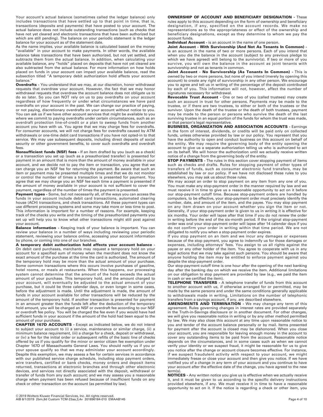Your account's actual balance (sometimes called the ledger balance) only includes transactions that have settled up to that point in time, that is, transactions (deposits and payments) that have posted to your account. The actual balance does not include outstanding transactions (such as checks that have not yet cleared and electronic transactions that have been authorized but which are still pending). The balance on your periodic statement is the ledger balance for your account as of the statement date.

As the name implies, your available balance is calculated based on the money "available" in your account to make payments. In other words, the available balance takes transactions that have been authorized, but not yet settled, and subtracts them from the actual balance. In addition, when calculating your available balance, any "holds" placed on deposits that have not yet cleared are also subtracted from the actual balance. For more information on how holds placed on funds in your account can impact your available balance, read the subsection titled "A temporary debit authorization hold affects your account balance.

**Overdrafts -** You understand that we may, at our discretion, honor withdrawal requests that overdraw your account. However, the fact that we may honor withdrawal requests that overdraw the account balance does not obligate us to do so later. So you can NOT rely on us to pay overdrafts on your account regardless of how frequently or under what circumstances we have paid overdrafts on your account in the past. We can change our practice of paying, or not paying, discretionary overdrafts on your account without notice to you. You can ask us if we have other account services that might be available to you where we commit to paying overdrafts under certain circumstances, such as an overdraft protection line-of-credit or a plan to sweep funds from another account you have with us. You agree that we may charge fees for overdrafts. For consumer accounts, we will not charge fees for overdrafts caused by ATM withdrawals or one-time debit card transactions if you have not opted-in to that service. We may use subsequent deposits, including direct deposits of social security or other government benefits, to cover such overdrafts and overdraft fees.

**Nonsufficient funds (NSF) fees -** If an item drafted by you (such as a check) or a transaction you set up (such as a preauthorized transfer) is presented for payment in an amount that is more than the amount of money available in your account, and we decide not to pay the item or transaction, you agree that we can charge you an NSF fee for returning the payment. Be aware that such an item or payment may be presented multiple times and that we do not monitor or control the number of times a transaction is presented for payment. You agree that we may charge you an NSF fee each time a payment is presented if the amount of money available in your account is not sufficient to cover the payment, regardless of the number of times the payment is presented.

Payment types - Some, but not necessarily all, of the ways you can access the funds in your account include debit card transactions, automated clearing house (ACH) transactions, and check transactions. All these payment types can use different processing systems and some may take more or less time to post. This information is important for a number of reasons. For example, keeping track of the checks you write and the timing of the preauthorized payments you set up will help you to know what other transactions might still post against your account.

**Balance information -** Keeping track of your balance is important. You can review your balance in a number of ways including reviewing your periodic statement, reviewing your balance online, accessing your account information by phone, or coming into one of our branches.

**A temporary debit authorization hold affects your account balance -** On debit card purchases, merchants may request a temporary hold on your account for a specified sum of money when the merchant does not know the exact amount of the purchase at the time the card is authorized. The amount of the temporary hold may be more than the actual amount of your purchase. Some common transactions where this occurs involve purchases of gasoline, hotel rooms, or meals at restaurants. When this happens, our processing system cannot determine that the amount of the hold exceeds the actual amount of your purchase. This temporary hold, and the amount charged to your account, will eventually be adjusted to the actual amount of your purchase, but it could be three calendar days, or even longer in some cases, before the adjustment is made. Until the adjustment is made, the amount of funds in your account available for other transactions will be reduced by the amount of the temporary hold. If another transaction is presented for payment in an amount greater than the funds left after the deduction of the temporary hold amount, you will be charged an NSF or overdraft fee according to our NSF or overdraft fee policy. You will be charged the fee even if you would have had sufficient funds in your account if the amount of the hold had been equal to the amount of your purchase.

**CHAPTER 167D ACCOUNTS -** Except as indicated below, we do not intend to subject your account to (i) a service, maintenance or similar charge, (ii) a minimum balance requirement, (iii) a charge for a check, deposit or withdrawal, or (iv) a fee for the initial order or subsequent refills of the basic line of checks offered by us if you qualify for the minor or senior citizen fee exemption under Chapter 167D of Massachusetts General Laws. You should notify us if you or your spouse qualify so that we may administer your account accordingly. Despite this exemption, we may assess a fee for certain services in accordance with our published service charge schedule, including stop payment orders, wire transfers, certified or bank checks, money orders and deposit items returned, transactions at electronic branches and through other electronic devices, and services not directly associated with the deposit, withdrawal or transfer of funds from any such account; and we may assess you a reasonable charge when payment has been refused because of insufficient funds on any check or other transaction on the account (as permitted by law).

#### **OWNERSHIP OF ACCOUNT AND BENEFICIARY DESIGNATION -** These

rules apply to this account depending on the form of ownership and beneficiary designation, if any, specified on the account records. We make no representations as to the appropriateness or effect of the ownership and beneficiary designations, except as they determine to whom we pay the account funds.

#### **Individual Account -** is an account in the name of one person.

**Joint Account - With Survivorship (And Not As Tenants In Common)**  is an account in the name of two or more persons. Each of you intend that when you die the balance in the account (subject to any previous pledge to which we have agreed) will belong to the survivor(s). If two or more of you survive, you will own the balance in the account as joint tenants with survivorship and not as tenants in common.

**Joint Account - No Survivorship (As Tenants In Common) -** This is owned by two or more persons, but none of you intend (merely by opening this account) to create any right of survivorship in any other person. We encourage you to agree and tell us in writing of the percentage of the deposit contributed by each of you. This information will not, however, affect the number of signatures necessary for withdrawal.

**Revocable Trust Account -** One or two of you (called trustees) may create such an account in trust for other persons. Payments may be made to the trustee, or if there are two trustees, to either or both of the trustees or the survivor. Upon the death of the trustee or the death of both trustees, payment may be made to the person or persons who survive the death of the last surviving trustee in an equal portion of the funds for whom the trust was made, or that person's legal representative.

**BUSINESS, ORGANIZATION AND ASSOCIATION ACCOUNTS -** Earnings in the form of interest, dividends, or credits will be paid only on collected funds, unless otherwise provided by law or our policy. You represent that you have the authority to open and conduct business on this account on behalf of the entity. We may require the governing body of the entity opening the account to give us a separate authorization telling us who is authorized to act on its behalf. We will honor the authorization until we actually receive written notice of a change from the governing body of the entity.

**STOP PAYMENTS -** The rules in this section cover stopping payment of items such as checks and drafts. Rules for stopping payment of other types of transfers of funds, such as consumer electronic fund transfers, may be established by law or our policy. If we have not disclosed these rules to you elsewhere, you may ask us about those rules.

We may accept an order to stop payment on any item from any one of you. You must make any stop-payment order in the manner required by law and we must receive it in time to give us a reasonable opportunity to act on it before our stop-payment cutoff time. Because stop-payment orders are handled by computers, to be effective, your stop-payment order must precisely identify the number, date, and amount of the item, and the payee. You may stop payment on any item drawn on your account whether you sign the item or not. Generally, if your stop-payment order is given to us in writing it is effective for six months. Your order will lapse after that time if you do not renew the order in writing before the end of the six-month period. If the original stop-payment order was oral your stop-payment order will lapse after 14 calendar days if you do not confirm your order in writing within that time period. We are not obligated to notify you when a stop-payment order expires.

If you stop payment on an item and we incur any damages or expenses because of the stop payment, you agree to indemnify us for those damages or expenses, including attorneys' fees. You assign to us all rights against the payee or any other holder of the item. You agree to cooperate with us in any legal actions that we may take against such persons. You should be aware that anyone holding the item may be entitled to enforce payment against you despite the stop-payment order.

Our stop-payment cutoff time is one hour after the opening of the next banking day after the banking day on which we receive the item. Additional limitations on our obligation to stop payment are provided by law (e.g., we paid the item in cash or we certified the item).

**TELEPHONE TRANSFERS -** A telephone transfer of funds from this account to another account with us, if otherwise arranged for or permitted, may be made by the same persons and under the same conditions generally applicable to withdrawals made in writing. Limitations on the number of telephonic transfers from a savings account, if any, are described elsewhere.

**AMENDMENTS AND TERMINATION -** We may change any term of this agreement. Rules governing changes in interest rates are provided separately in the Truth-in-Savings disclosure or in another document. For other changes, we will give you reasonable notice in writing or by any other method permitted by law. We may also close this account at any time upon reasonable notice to you and tender of the account balance personally or by mail. Items presented for payment after the account is closed may be dishonored. When you close your account, you are responsible for leaving enough money in the account to cover any outstanding items to be paid from the account. Reasonable notice depends on the circumstances, and in some cases such as when we cannot verify your identity or we suspect fraud, it might be reasonable for us to give you notice after the change or account closure becomes effective. For instance, if we suspect fraudulent activity with respect to your account, we might immediately freeze or close your account and then give you notice. If we have notified you of a change in any term of your account and you continue to have your account after the effective date of the change, you have agreed to the new term(s).

**NOTICES -** Any written notice you give us is effective when we actually receive it, and it must be given to us according to the specific delivery instructions provided elsewhere, if any. We must receive it in time to have a reasonable opportunity to act on it. If the notice is regarding a check or other item, you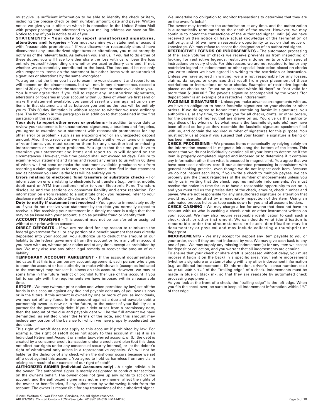must give us sufficient information to be able to identify the check or item, including the precise check or item number, amount, date and payee. Written notice we give you is effective when it is deposited in the United States Mail with proper postage and addressed to your mailing address we have on file. Notice to any of you is notice to all of you.

**STATEMENTS - Your duty to report unauthorized signatures, alterations and forgeries -** You must examine your statement of account with "reasonable promptness." If you discover (or reasonably should have discovered) any unauthorized signatures or alterations, you must promptly notify us of the relevant facts. As between you and us, if you fail to do either of these duties, you will have to either share the loss with us, or bear the loss entirely yourself (depending on whether we used ordinary care and, if not, whether we substantially contributed to the loss). The loss could be not only with respect to items on the statement but other items with unauthorized signatures or alterations by the same wrongdoer.

You agree that the time you have to examine your statement and report to us will depend on the circumstances, but will not, in any circumstance, exceed a total of 30 days from when the statement is first sent or made available to you.

You further agree that if you fail to report any unauthorized signatures, alterations or forgeries in your account within 60 days of when we first send or make the statement available, you cannot assert a claim against us on any items in that statement, and as between you and us the loss will be entirely yours. This 60-day limitation is without regard to whether we used ordinary care. The limitation in this paragraph is in addition to that contained in the first paragraph of this section.

**Your duty to report other errors or problems -** In addition to your duty to review your statements for unauthorized signatures, alterations and forgeries, you agree to examine your statement with reasonable promptness for any other error or problem - such as an encoding error or an unexpected deposit amount. Also, if you receive or we make available either your items or images of your items, you must examine them for any unauthorized or missing indorsements or any other problems. You agree that the time you have to examine your statement and items and report to us will depend on the circumstances. However, this time period shall not exceed 60 days. Failure to examine your statement and items and report any errors to us within 60 days of when we first send or make the statement available precludes you from asserting a claim against us for any errors on items identified in that statement and as between you and us the loss will be entirely yours.

**Errors relating to electronic fund transfers or substitute checks -** For information on errors relating to electronic fund transfers (e.g., on-line, mobile, debit card or ATM transactions) refer to your Electronic Fund Transfers disclosure and the sections on consumer liability and error resolution. For information on errors relating to a substitute check you received, refer to your disclosure entitled Substitute Checks and Your Rights.

**Duty to notify if statement not received -** You agree to immediately notify us if you do not receive your statement by the date you normally expect to receive it. Not receiving your statement in a timely manner is a sign that there may be an issue with your account, such as possible fraud or identity theft.

**ACCOUNT TRANSFER -** This account may not be transferred or assigned without our prior written consent.

**DIRECT DEPOSITS -** If we are required for any reason to reimburse the federal government for all or any portion of a benefit payment that was directly deposited into your account, you authorize us to deduct the amount of our liability to the federal government from the account or from any other account you have with us, without prior notice and at any time, except as prohibited by law. We may also use any other legal remedy to recover the amount of our liability.

**TEMPORARY ACCOUNT AGREEMENT -** If the account documentation indicates that this is a temporary account agreement, each person who signs to open the account or has authority to make withdrawals (except as indicated to the contrary) may transact business on this account. However, we may at some time in the future restrict or prohibit further use of this account if you fail to comply with the requirements we have imposed within a reasonable time.

**SETOFF -** We may (without prior notice and when permitted by law) set off the funds in this account against any due and payable debt any of you owe us now or in the future. If this account is owned by one or more of you as individuals, we may set off any funds in the account against a due and payable debt a partnership owes us now or in the future, to the extent of your liability as a partner for the partnership debt. If your debt arises from a promissory note, then the amount of the due and payable debt will be the full amount we have demanded, as entitled under the terms of the note, and this amount may include any portion of the balance for which we have properly accelerated the due date.

This right of setoff does not apply to this account if prohibited by law. For example, the right of setoff does not apply to this account if: (a) it is an Individual Retirement Account or similar tax-deferred account, or (b) the debt is created by a consumer credit transaction under a credit card plan (but this does not affect our rights under any consensual security interest), or (c) the debtor's right of withdrawal only arises in a representative capacity. We will not be liable for the dishonor of any check when the dishonor occurs because we set off a debt against this account. You agree to hold us harmless from any claim arising as a result of our exercise of our right of setoff.

**AUTHORIZED SIGNER (Individual Accounts only) -** A single individual is the owner. The authorized signer is merely designated to conduct transactions on the owner's behalf. The owner does not give up any rights to act on the account, and the authorized signer may not in any manner affect the rights of the owner or beneficiaries, if any, other than by withdrawing funds from the account. The owner is responsible for any transactions of the authorized signer.

We undertake no obligation to monitor transactions to determine that they are on the owner's behalf.

The owner may terminate the authorization at any time, and the authorization is automatically terminated by the death of the owner. However, we may continue to honor the transactions of the authorized signer until: (a) we have received written notice or have actual knowledge of the termination of authority, and (b) we have a reasonable opportunity to act on that notice or knowledge. We may refuse to accept the designation of an authorized signer.

**RESTRICTIVE LEGENDS OR INDORSEMENTS -** The automated processing of the large volume of checks we receive prevents us from inspecting or looking for restrictive legends, restrictive indorsements or other special instructions on every check. For this reason, we are not required to honor any restrictive legend or indorsement or other special instruction placed on checks you write unless we have agreed in writing to the restriction or instruction. Unless we have agreed in writing, we are not responsible for any losses, claims, damages, or expenses that result from your placement of these restrictions or instructions on your checks. Examples of restrictive legends placed on checks are "must be presented within 90 days" or "not valid for more than \$1,000.00." The payee's signature accompanied by the words "for deposit only" is an example of a restrictive indorsement.

**FACSIMILE SIGNATURES -** Unless you make advance arrangements with us, we have no obligation to honor facsimile signatures on your checks or other orders. If we do agree to honor items containing facsimile signatures, you authorize us, at any time, to charge you for all checks, drafts, or other orders, for the payment of money, that are drawn on us. You give us this authority regardless of by whom or by what means the facsimile signature(s) may have been affixed so long as they resemble the facsimile signature specimen filed with us, and contain the required number of signatures for this purpose. You must notify us at once if you suspect that your facsimile signature is being or has been misused.

**CHECK PROCESSING -** We process items mechanically by relying solely on the information encoded in magnetic ink along the bottom of the items. This means that we do not individually examine all of your items to determine if the item is properly completed, signed and indorsed or to determine if it contains any information other than what is encoded in magnetic ink. You agree that we have exercised ordinary care if our automated processing is consistent with general banking practice, even though we do not inspect each item. Because we do not inspect each item, if you write a check to multiple payees, we can properly pay the check regardless of the number of indorsements unless you notify us in writing that the check requires multiple indorsements. We must receive the notice in time for us to have a reasonable opportunity to act on it, and you must tell us the precise date of the check, amount, check number and payee. We are not responsible for any unauthorized signature or alteration that would not be identified by a reasonable inspection of the item. Using an automated process helps us keep costs down for you and all account holders.

**CHECK CASHING -** We may charge a fee for anyone that does not have an account with us who is cashing a check, draft or other instrument written on your account. We may also require reasonable identification to cash such a check, draft or other instrument. We can decide what identification is reasonable under the circumstances and such identification may be documentary or physical and may include collecting a thumbprint or fingerprint.

**INDORSEMENTS -** We may accept for deposit any item payable to you or your order, even if they are not indorsed by you. We may give cash back to any one of you. We may supply any missing indorsement(s) for any item we accept for deposit or collection, and you warrant that all indorsements are genuine.

To ensure that your check or share draft is processed without delay, you must indorse it (sign it on the back) in a specific area. Your entire indorsement (whether a signature or a stamp) along with any other indorsement information (e.g. additional indorsements, ID information, driver's license number, etc.) must fall within  $1\frac{1}{2}$ " of the "trailing edge" of a check. Indorsements must be made in blue or black ink, so that they are readable by automated check processing equipment.

As you look at the front of a check, the "trailing edge" is the left edge. When you flip the check over, be sure to keep all indorsement information within 11 /2" of that edge.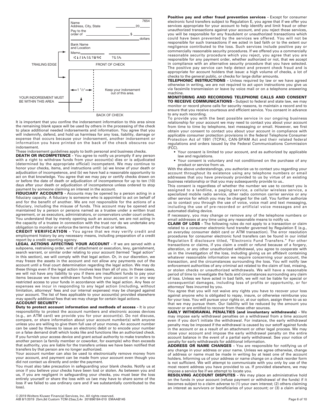

BACK OF CHECK

It is important that you confine the indorsement information to this area since the remaining blank space will be used by others in the processing of the check to place additional needed indorsements and information. You agree that you will indemnify, defend, and hold us harmless for any loss, liability, damage or expense that occurs because your indorsement, another indorsement or information you have printed on the back of the check obscures our indorsement.

These indorsement guidelines apply to both personal and business checks.

**DEATH OR INCOMPETENCE -** You agree to notify us promptly if any person with a right to withdraw funds from your account(s) dies or is adjudicated (determined by the appropriate official) incompetent. We may continue to honor your checks, items, and instructions until: (a) we know of your death or adjudication of incompetence, and (b) we have had a reasonable opportunity to act on that knowledge. You agree that we may pay or certify checks drawn on or before the date of death or adjudication of incompetence for up to ten (10) days after your death or adjudication of incompetence unless ordered to stop payment by someone claiming an interest in the account.

**FIDUCIARY ACCOUNTS -** Accounts may be opened by a person acting in a fiduciary capacity. A fiduciary is someone who is appointed to act on behalf of and for the benefit of another. We are not responsible for the actions of a fiduciary, including the misuse of funds. This account may be opened and maintained by a person or persons named as a trustee under a written trust agreement, or as executors, administrators, or conservators under court orders. You understand that by merely opening such an account, we are not acting in the capacity of a trustee in connection with the trust nor do we undertake any obligation to monitor or enforce the terms of the trust or letters.

**CREDIT VERIFICATION -** You agree that we may verify credit and employment history by any necessary means, including preparation of a credit report by a credit reporting agency.

**LEGAL ACTIONS AFFECTING YOUR ACCOUNT -** If we are served with a subpoena, restraining order, writ of attachment or execution, levy, garnishment, search warrant, or similar order relating to your account (termed "legal action" in this section), we will comply with that legal action. Or, in our discretion, we may freeze the assets in the account and not allow any payments out of the account until a final court determination regarding the legal action. We may do these things even if the legal action involves less than all of you. In these cases, we will not have any liability to you if there are insufficient funds to pay your items because we have withdrawn funds from your account or in any way restricted access to your funds in accordance with the legal action. Any fees or expenses we incur in responding to any legal action (including, without limitation, attorneys' fees and our internal expenses) may be charged against your account. The list of fees applicable to your account(s) provided elsewhere may specify additional fees that we may charge for certain legal actions.

#### **ACCOUNT SECURITY -**

**Duty to protect account information and methods of access -** It is your responsibility to protect the account numbers and electronic access devices (e.g., an ATM card) we provide you for your account(s). Do not discuss, compare, or share information about your account number(s) with anyone unless you are willing to give them full use of your money. An account number can be used by thieves to issue an electronic debit or to encode your number on a false demand draft which looks like and functions like an authorized check. If you furnish your access device and grant actual authority to make transfers to another person (a family member or coworker, for example) who then exceeds that authority, you are liable for the transfers unless we have been notified that transfers by that person are no longer authorized.

Your account number can also be used to electronically remove money from your account, and payment can be made from your account even though you did not contact us directly and order the payment.

You must also take precaution in safeguarding your blank checks. Notify us at once if you believe your checks have been lost or stolen. As between you and us, if you are negligent in safeguarding your checks, you must bear the loss entirely yourself or share the loss with us (we may have to share some of the loss if we failed to use ordinary care and if we substantially contributed to the loss).

**Positive pay and other fraud prevention services -** Except for consumer electronic fund transfers subject to Regulation E, you agree that if we offer you services appropriate for your account to help identify and limit fraud or other unauthorized transactions against your account, and you reject those services, you will be responsible for any fraudulent or unauthorized transactions which could have been prevented by the services we offered. You will not be responsible for such transactions if we acted in bad faith or to the extent our negligence contributed to the loss. Such services include positive pay or commercially reasonable security procedures. If we offered you a commercially reasonable security procedure which you reject, you agree that you are responsible for any payment order, whether authorized or not, that we accept in compliance with an alternative security procedure that you have selected. The positive pay service can help detect and prevent check fraud and is appropriate for account holders that issue: a high volume of checks, a lot of checks to the general public, or checks for large dollar amounts.

**TELEPHONIC INSTRUCTIONS -** Unless required by law or we have agreed otherwise in writing, we are not required to act upon instructions you give us via facsimile transmission or leave by voice mail or on a telephone answering machine.

**MONITORING AND RECORDING TELEPHONE CALLS AND CONSENT TO RECEIVE COMMUNICATIONS -** Subject to federal and state law, we may monitor or record phone calls for security reasons, to maintain a record and to ensure that you receive courteous and efficient service. You consent in advance to any such recording.

To provide you with the best possible service in our ongoing business relationship for your account we may need to contact you about your account from time to time by telephone, text messaging or email. However, we first obtain your consent to contact you about your account in compliance with applicable consumer protection provisions in the federal Telephone Consumer Protection Act of 1991 (TCPA), CAN-SPAM Act and their related federal regulations and orders issued by the Federal Communications Commission (FCC).

- Your consent is limited to your account, and as authorized by applicable law and regulations.
- Your consent is voluntary and not conditioned on the purchase of any product or service from us.

With the above understandings, you authorize us to contact you regarding your account throughout its existence using any telephone numbers or email addresses that you have previously provided to us by virtue of an existing business relationship or that you may subsequently provide to us..

This consent is regardless of whether the number we use to contact you is assigned to a landline, a paging service, a cellular wireless service, a specialized mobile radio service, other radio common carrier service or any other service for which you may be charged for the call. You further authorize us to contact you through the use of voice, voice mail and text messaging, including the use of pre-recorded or artificial voice messages and an automated dialing device.

If necessary, you may change or remove any of the telephone numbers or email addresses at any time using any reasonable means to notify us.

**CLAIM OF LOSS -** The following rules do not apply to a transaction or claim related to a consumer electronic fund transfer governed by Regulation E (e.g., an everyday consumer debit card or ATM transaction). The error resolution procedures for consumer electronic fund transfers can be found in our initial Regulation E disclosure titled, "Electronic Fund Transfers." For other transactions or claims, if you claim a credit or refund because of a forgery, alteration, or any other unauthorized withdrawal, you agree to cooperate with us in the investigation of the loss, including giving us an affidavit containing whatever reasonable information we require concerning your account, the transaction, and the circumstances surrounding the loss. You will notify law enforcement authorities of any criminal act related to the claim of lost, missing, or stolen checks or unauthorized withdrawals. We will have a reasonable period of time to investigate the facts and circumstances surrounding any claim of loss. Unless we have acted in bad faith, we will not be liable for special or consequential damages, including loss of profits or opportunity, or for attorneys' fees incurred by you.

You agree that you will not waive any rights you have to recover your loss against anyone who is obligated to repay, insure, or otherwise reimburse you for your loss. You will pursue your rights or, at our option, assign them to us so that we may pursue them. Our liability will be reduced by the amount you recover or are entitled to recover from these other sources.

**EARLY WITHDRAWAL PENALTIES (and involuntary withdrawals) -** We may impose early withdrawal penalties on a withdrawal from a time account even if you don't initiate the withdrawal. For instance, the early withdrawal penalty may be imposed if the withdrawal is caused by our setoff against funds in the account or as a result of an attachment or other legal process. We may close your account and impose the early withdrawal penalty on the entire account balance in the event of a partial early withdrawal. See your notice of penalty for early withdrawals for additional information.

**ADDRESS OR NAME CHANGES -** You are responsible for notifying us of any change in your address or your name. Unless we agree otherwise, change of address or name must be made in writing by at least one of the account holders. Informing us of your address or name change on a check reorder form is not sufficient. We will attempt to communicate with you only by use of the most recent address you have provided to us. If provided elsewhere, we may impose a service fee if we attempt to locate you.

**RESOLVING ACCOUNT DISPUTES -** We may place an administrative hold on the funds in your account (refuse payment or withdrawal of the funds) if it becomes subject to a claim adverse to (1) your own interest; (2) others claiming an interest as survivors or beneficiaries of your account; or (3) a claim arising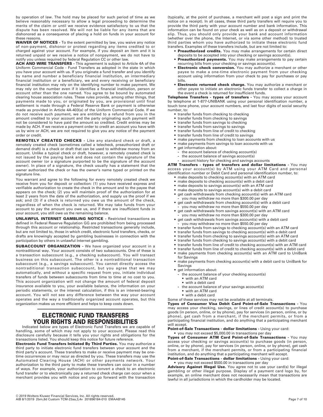by operation of law. The hold may be placed for such period of time as we believe reasonably necessary to allow a legal proceeding to determine the merits of the claim or until we receive evidence satisfactory to us that the dispute has been resolved. We will not be liable for any items that are dishonored as a consequence of placing a hold on funds in your account for these reasons.

**WAIVER OF NOTICES -** To the extent permitted by law, you waive any notice of non-payment, dishonor or protest regarding any items credited to or charged against your account. For example, if you deposit an item and it is returned unpaid or we receive a notice of nonpayment, we do not have to notify you unless required by federal Regulation CC or other law.

**ACH AND WIRE TRANSFERS -** This agreement is subject to Article 4A of the Uniform Commercial Code - Fund Transfers as adopted in the state in which you have your account with us. If you originate a fund transfer and you identify by name and number a beneficiary financial institution, an intermediary financial institution or a beneficiary, we and every receiving or beneficiary financial institution may rely on the identifying number to make payment. We may rely on the number even if it identifies a financial institution, person or account other than the one named. You agree to be bound by automated clearing house association rules. These rules provide, among other things, that payments made to you, or originated by you, are provisional until final settlement is made through a Federal Reserve Bank or payment is otherwise made as provided in Article 4A-403(a) of the Uniform Commercial Code. If we do not receive such payment, we are entitled to a refund from you in the amount credited to your account and the party originating such payment will not be considered to have paid the amount so credited. Credit entries may be made by ACH. If we receive a payment order to credit an account you have with us by wire or ACH, we are not required to give you any notice of the payment order or credit.

**REMOTELY CREATED CHECKS -** Like any standard check or draft, a remotely created check (sometimes called a telecheck, preauthorized draft or demand draft) is a check or draft that can be used to withdraw money from an account. Unlike a typical check or draft, however, a remotely created check is not issued by the paying bank and does not contain the signature of the account owner (or a signature purported to be the signature of the account owner). In place of a signature, the check usually has a statement that the owner authorized the check or has the owner's name typed or printed on the signature line.

You warrant and agree to the following for every remotely created check we receive from you for deposit or collection: (1) you have received express and verifiable authorization to create the check in the amount and to the payee that appears on the check; (2) you will maintain proof of the authorization for at least 2 years from the date of the authorization, and supply us the proof if we ask; and (3) if a check is returned you owe us the amount of the check, regardless of when the check is returned. We may take funds from your account to pay the amount you owe us, and if there are insufficient funds in your account, you still owe us the remaining balance.

**UNLAWFUL INTERNET GAMBLING NOTICE -** Restricted transactions as defined in Federal Reserve Regulation GG are prohibited from being processed through this account or relationship. Restricted transactions generally include, but are not limited to, those in which credit, electronic fund transfers, checks, or drafts are knowingly accepted by gambling businesses in connection with the participation by others in unlawful Internet gambling.

**SUBACCOUNT ORGANIZATION -** We have organized your account in a nontraditional way. Your account consists of two subaccounts. One of these is a transaction subaccount (e.g., a checking subaccount). You will transact business on this subaccount. The other is a nontraditional transaction subaccount (e.g., a savings subaccount). You cannot directly access the nontraditional transaction subaccount, but you agree that we may automatically, and without a specific request from you, initiate individual transfers of funds between subaccounts from time to time at no cost to you. This account organization will not change the amount of federal deposit insurance available to you, your available balance, the information on your periodic statements, or the interest calculation, if this is an interest-bearing account. You will not see any difference between the way your account operates and the way a traditionally organized account operates, but this organization makes us more efficient and helps to keep costs down.

#### ———————————————————————————————————— **ELECTRONIC FUND TRANSFERS YOUR RIGHTS AND RESPONSIBILITIES**

Indicated below are types of Electronic Fund Transfers we are capable of handling, some of which may not apply to your account. Please read this disclosure carefully because it tells you your rights and obligations for the transactions listed. You should keep this notice for future reference.

**Electronic Fund Transfers Initiated By Third Parties.** You may authorize a third party to initiate electronic fund transfers between your account and the third party's account. These transfers to make or receive payment may be onetime occurrences or may recur as directed by you. These transfers may use the Automated Clearing House (ACH) or other payments network. Your authorization to the third party to make these transfers can occur in a number of ways. For example, your authorization to convert a check to an electronic fund transfer or to electronically pay a returned check charge can occur when a merchant provides you with notice and you go forward with the transaction

(typically, at the point of purchase, a merchant will post a sign and print the notice on a receipt). In all cases, these third party transfers will require you to provide the third party with your account number and bank information. This information can be found on your check as well as on a deposit or withdrawal slip. Thus, you should only provide your bank and account information (whether over the phone, the Internet, or via some other method) to trusted third parties whom you have authorized to initiate these electronic fund transfers. Examples of these transfers include, but are not limited to:

- **Preauthorized credits.** You may make arrangements for certain direct
- deposits to be accepted into your checking or savings account(s). **Preauthorized payments.** You may make arrangements to pay certain recurring bills from your checking or savings account(s).
- **Electronic check conversion.** You may authorize a merchant or other payee to make a one-time electronic payment from your checking account using information from your check to pay for purchases or pay bills.
- **Electronic returned check charge.** You may authorize a merchant or other payee to initiate an electronic funds transfer to collect a charge in the event a check is returned for insufficient funds.

**Telephone Transfers - types of transfers -** You may access your account by telephone at 1-877-UNIBANK using your personal identification number, a touch tone phone, your account numbers, and last four digits of social security number, to:

- **•** transfer funds from checking to checking
- **•** transfer funds from checking to savings
- **•** transfer funds from savings to checking
- **•** transfer funds from savings to savings
- **•** transfer funds from line of credit to checking **•** transfer funds from line of credit to savings
- **•** make payments from checking to loan accounts with us
- **•** make payments from savings to loan accounts with us
- **•** get information about:
- **-** the account balance of checking account(s)
- **-** the account balance of savings account(s)
- **-** account history for checking and savings accounts

**ATM Transfers - types of transfers and dollar limitations -** You may access your account(s) by ATM using your ATM Card and personal identification number or Debit Card and personal identification number, to:

- **•** make deposits to checking account(s) with an ATM card
- **•** make deposits to checking account(s) with a debit card
- **•** make deposits to savings account(s) with an ATM card
- **•** make deposits to savings account(s) with a debit card
- **•** get cash withdrawals from checking account(s) with an ATM card **-** you may withdraw no more than \$300.00 per day
- **•** get cash withdrawals from checking account(s) with a debit card **-** you may withdraw no more than \$550.00 per day
- **•** get cash withdrawals from savings account(s) with an ATM card **-** you may withdraw no more than \$300.00 per day
- **•** get cash withdrawals from savings account(s) with a debit card **-** you may withdraw no more than \$550.00 per day
- **•** transfer funds from savings to checking account(s) with an ATM card
- **•** transfer funds from savings to checking account(s) with a debit card
- **•** transfer funds from checking to savings account(s) with an ATM card
- **•** transfer funds from checking to savings account(s) with a debit card
- **•** transfer funds from line of credit to checking account(s) with an ATM card
- **•** transfer funds from line of credit to checking account(s) with a debit card
- **•** make payments from checking account(s) with an ATM card to UniBank for Savings
- **•** make payments from checking account(s) with a debit card to UniBank for Savings
- **•** get information about:
	- **-** the account balance of your checking account(s)
	- **•** with an ATM card
	- **•** with a debit card
	- **-** the account balance of your savings account(s)
	- **•** with an ATM card
	- **•** with a debit card

Some of these services may not be available at all terminals.

**Types of Consumer Visa Debit Card Point-of-Sale Transactions -** You may access your checking, savings, or lines of credit account(s) to purchase goods (in person, online, or by phone), pay for services (in person, online, or by phone), get cash from a merchant, if the merchant permits, or from a participating financial institution, and do anything that a participating merchant will accept.

**Point-of-Sale Transactions - dollar limitations -** Using your card:

**•** you may not exceed \$5,000.00 in transactions per day

**Types of Consumer ATM Card Point-of-Sale Transactions -** You may access your checking or savings account(s) to purchase goods (in person, online, or by phone), pay for services (in person, online, or by phone), get cash from a merchant, if the merchant permits, or from a participating financial institution, and do anything that a participating merchant will accept. **Point-of-Sale Transactions - dollar limitations -** Using your card:

#### **•** you may not exceed \$500.00 in transactions per day

Advisory Against Illegal Use. You agree not to use your card(s) for illegal gambling or other illegal purpose. Display of a payment card logo by, for example, an online merchant does not necessarily mean that transactions are lawful in all jurisdictions in which the cardholder may be located.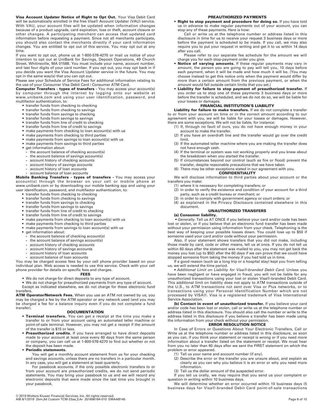**Visa Account Updater Notice of Right to Opt Out.** Your Visa Debit Card will be automatically enrolled in the free Visa® Account Updater (VAU) service. With VAU, your account files will be updated when information changes because of a product upgrade, card expiration, loss or theft, account closure or other changes. A participating merchant can access that updated card information before requesting a payment. Since not all merchants participate, you should also contact the merchants directly if your card information changes. You are entitled to opt out of this service. You may opt out at any time.

If you want to opt out, phone us at 1-800-578-4270 or mail us notice of your intention to opt out at UniBank for Savings, Deposit Operations, 49 Church Street, Whitinsville, MA 01588. You must include your name, account number, and last four digits of your card number. If you opt out, you may opt back in if you decide you want the Visa Account Updater service in the future. You may opt in the same way(s) that you can opt out.

Please see your Schedule of Service Fees for additional information relating to the use of your Consumer Visa Debit Card / Consumer ATM Card.

**Computer Transfers - types of transfers -** You may access your account(s) by computer through the internet by logging onto our website at www.unibank.com and using your user identification, password, and multifactor authentication, to:

- **•** transfer funds from checking to checking
- **•** transfer funds from checking to savings
- **•** transfer funds from savings to checking
- transfer funds from savings to savings
- **•** transfer funds from line of credit to checking **•** transfer funds from line of credit to savings
- **•** make payments from checking to loan account(s) with us
- **•** make payments from checking to third parties
- **•** make payments from savings to loan account(s) with us
- **•** make payments from savings to third parties
- **•** get information about:
- **-** the account balance of checking account(s)
- **-** the account balance of savings account(s)
- **-** account history of checking accounts
- **-** account history of savings accounts
- **-** account history of loan accounts
- **-** account balance of loan accounts

**Mobile Banking Transfers - types of transfers -** You may access your account(s) through the browser on your cell or mobile phone at www.unibank.com or by downloading our mobile banking app and using your user identification, password, and multifactor authentication, to:

- transfer funds from checking to checking
- transfer funds from checking to savings
- transfer funds from savings to checking
- transfer funds from savings to savings
- transfer funds from line of credit to checking
- transfer funds from line of credit to savings
- make payments from checking to loan account(s) with us
- make payments from checking to third parties • make payments from savings to loan account(s) with us
- get information about:
	- **-** the account balance of checking account(s)
	- **-** the account balance of savings account(s)
	- **-** account history of checking accounts
	- **-** account history of savings accounts
	- **-** account history of loan accounts
	- **-** account balance of loan accounts

You may be charged access fees by your cell phone provider based on your individual plan. Web access is needed to use this service. Check with your cell phone provider for details on specific fees and charges.

#### **FEES**

**•** We do not charge for direct deposits to any type of account.

**•** We do not charge for preauthorized payments from any type of account. Except as indicated elsewhere, we do not charge for these electronic fund transfers.

**ATM Operator/Network Fees.** When you use an ATM not owned by us, you may be charged a fee by the ATM operator or any network used (and you may be charged a fee for a balance inquiry even if you do not complete a fund transfer).

#### **DOCUMENTATION**

- **Terminal transfers.** You can get a receipt at the time you make a transfer to or from your account using an automated teller machine or point-of-sale terminal. However, you may not get a receipt if the amount of the transfer is \$15 or less.
- **Preauthorized credits.** If you have arranged to have direct deposits made to your account at least once every 60 days from the same person or company, you can call us at 1-800-578-4270 to find out whether or not the deposit has been made.
- **Periodic statements.**

You will get a monthly account statement from us for your checking and savings accounts, unless there are no transfers in a particular month. In any case, you will get a statement at least quarterly.

For passbook accounts, if the only possible electronic transfers to or from your account are preauthorized credits, we do not send periodic statements. You may bring your passbook to us and we will record any electronic deposits that were made since the last time you brought in your passbook.

#### **PREAUTHORIZED PAYMENTS**

**• Right to stop payment and procedure for doing so.** If you have told us in advance to make regular payments out of your account, you can stop any of these payments. Here is how:

Call or write us at the telephone number or address listed in this disclosure in time for us to receive your request 3 business days or more before the payment is scheduled to be made. If you call, we may also require you to put your request in writing and get it to us within 14 days after you call.

Please refer to our separate fee schedule for the amount we will charge you for each stop-payment order you give.

- **Notice of varying amounts.** If these regular payments may vary in amount, the person you are going to pay will tell you, 10 days before each payment, when it will be made and how much it will be. (You may choose instead to get this notice only when the payment would differ by more than a certain amount from the previous payment, or when the amount would fall outside certain limits that you set.)
- **Liability for failure to stop payment of preauthorized transfer.** If you order us to stop one of these payments 3 business days or more before the transfer is scheduled, and we do not do so, we will be liable for your losses or damages.

#### **FINANCIAL INSTITUTION'S LIABILITY**

**Liability for failure to make transfers.** If we do not complete a transfer to or from your account on time or in the correct amount according to our agreement with you, we will be liable for your losses or damages. However, there are some exceptions. We will not be liable, for instance:

- (1) If, through no fault of ours, you do not have enough money in your account to make the transfer.
- (2) If you have an overdraft line and the transfer would go over the credit limit.
- (3) If the automated teller machine where you are making the transfer does not have enough cash.
- (4) If the terminal or system was not working properly and you knew about the breakdown when you started the transfer.
- (5) If circumstances beyond our control (such as fire or flood) prevent the transfer, despite reasonable precautions that we have taken.
- (6) There may be other exceptions stated in our agreement with you.

**CONFIDENTIALITY**  We will disclose information to third parties about your account or the transfers you make:

- (1) where it is necessary for completing transfers; or
- (2) in order to verify the existence and condition of your account for a third party, such as a credit bureau or merchant; or
- (3) in order to comply with government agency or court orders; or
- (4) as explained in the Privacy Disclosure contained elsewhere in this document.

#### **UNAUTHORIZED TRANSFERS**

#### **(a) Consumer liability.**

 *• Generally.* Tell us AT ONCE if you believe your card and/or code has been lost or stolen, or if you believe that an electronic fund transfer has been made without your permission using information from your check. Telephoning is the best way of keeping your possible losses down. You could lose up to \$50 if someone used your card and/or code without your permission.

Also, if your statement shows transfers that you did not make, including those made by card, code or other means, tell us at once. If you do not tell us within 60 days after the statement was mailed to you, you may not get back the money you lost (up to \$50) after the 60 days if we can prove that we could have stopped someone from taking the money if you had told us in time.

If a good reason (such as a long trip or a hospital stay) kept you from telling us, we will extend the time period.

*• Additional Limit on Liability for Visa®-branded Debit Card.* Unless you have been negligent or have engaged in fraud, you will not be liable for any unauthorized transactions using your lost or stolen Visa®-branded Debit Card. This additional limit on liability does not apply to ATM transactions outside of the U.S., to ATM transactions not sent over Visa or Plus networks, or to transactions using your Personal Identification Number which are not processed by VISA®. Visa is a registered trademark of Visa International Service Association.

**(b) Contact in event of unauthorized transfer.** If you believe your card and/or code has been lost or stolen, call or write us at the telephone number or address listed in this disclosure. You should also call the number or write to the address listed in this disclosure if you believe a transfer has been made using the information from your check without your permission.

#### **ERROR RESOLUTION NOTICE**

In Case of Errors or Questions About Your Electronic Transfers, Call or Write us at the telephone number or address listed in this disclosure, as soon as you can, if you think your statement or receipt is wrong or if you need more information about a transfer listed on the statement or receipt. We must hear from you no later than 60 days after we sent the FIRST statement on which the problem or error appeared.

- (1) Tell us your name and account number (if any).
- (2) Describe the error or the transfer you are unsure about, and explain as clearly as you can why you believe it is an error or why you need more information.
- (3) Tell us the dollar amount of the suspected error.

If you tell us orally, we may require that you send us your complaint or question in writing within 10 business days.

We will determine whether an error occurred within 10 business days (5 business days for Visa®-branded Debit Card point-of-sale transactions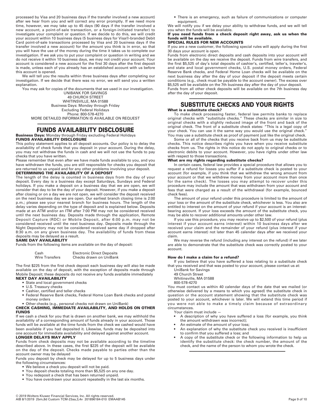processed by Visa and 20 business days if the transfer involved a new account) after we hear from you and will correct any error promptly. If we need more time, however, we may take up to 45 days (90 days if the transfer involved a new account, a point-of-sale transaction, or a foreign-initiated transfer) to investigate your complaint or question. If we decide to do this, we will credit your account within 10 business days (5 business days for Visa®-branded Debit Card point-of-sale transactions processed by Visa and 20 business days if the transfer involved a new account) for the amount you think is in error, so that you will have the use of the money during the time it takes us to complete our investigation. If we ask you to put your complaint or question in writing and we do not receive it within 10 business days, we may not credit your account. Your account is considered a new account for the first 30 days after the first deposit is made, unless each of you already has an established account with us before this account is opened.

We will tell you the results within three business days after completing our investigation. If we decide that there was no error, we will send you a written explanation.

You may ask for copies of the documents that we used in our investigation. UNIBANK FOR SAVINGS 49 CHURCH STREET WHITINSVILLE, MA 01588 Business Days: Monday through Friday Excluding Federal Holidays Phone: 800-578-4270 MORE DETAILED INFORMATION IS AVAILABLE ON REQUEST

#### ———————————————————————————————————— **FUNDS AVAILABILITY DISCLOSURE**

**Business Days:** Monday through Friday excluding Federal Holidays

**FUNDS AVAILABILITY DISCLOSURE** This policy statement applies to all deposit accounts. Our policy is to delay the availability of check funds that you deposit in your account. During the delay, you may not withdraw the funds in cash and we will not use the funds to pay checks that you have written.

Please remember that even after we have made funds available to you, and you have withdrawn the funds, you are still responsible for checks you deposit that are returned to us unpaid and for any other problems involving your deposit.

#### **DETERMINING THE AVAILABILITY OF A DEPOSIT**

The length of the delay is counted in business days from the day of your deposit. Every day is a business day except Saturdays, Sundays and Federal holidays. If you make a deposit on a business day that we are open, we will consider that day to be the day of your deposit. However, if you make a deposit after closing or on a day we are not open, we will consider the deposit received on the next business day we are open. Our earliest branch closing time is 2:00 p.m.; please see your nearest branch for business hours. The length of the delay varies depending on the type of deposit and is explained below. Deposits made at an ATM and/or an ITM after 7:00 PM may not be considered received until the next business day. Deposits made through the application, Remote Deposit Capture (RDC) or Mobile Deposit, after 6:00 p.m. may not be considered received until the next business day. Deposits made through the Night Depository may not be considered received same day if dropped after 8:30 a.m. on any given business day. The availability of funds from these deposits may be delayed as a result.

**SAME DAY AVAILABILITY**

Funds from the following items are available on the day of deposit:

| Cash                  | <b>Electronic Direct Deposits</b> |
|-----------------------|-----------------------------------|
| <b>Wire Transfers</b> | Checks drawn on UniBank           |

The first \$225 from the first check deposit each business day will also be made available on the day of deposit, with the exception of deposits made through Mobile Deposit; these deposits do not receive any funds available immediately **NEXT DAY AVAILABILITY**

**•** State and local government checks

- **•** U.S. Treasury checks
- **•** Cashier, certified and teller checks **•** Federal Reserve Bank checks, Federal Home Loan Bank checks and postal
- money orders
- **•** Other checks (e.g., personal checks not drawn on UniBank)

**CHECK CASHING, IMMEDIATE AVAILABILITY, AND HOLDS ON OTHER FUNDS**

If we cash a check for you that is drawn on another bank, we may withhold the availability of a corresponding amount of funds already in your account. Those funds will be available at the time funds from the check we cashed would have been available if you had deposited it. Likewise, funds may be deposited into one account for immediate availability and delayed against another account.

#### **LONGER DELAYS MAY APPLY**

Funds from check deposits may not be available according to the timeline described above. In these cases, the first \$225 of the deposit will be available on the day of the deposit. Checks made payable to parties other than the account owner may be delayed

Funds you deposit by check may be delayed for up to 5 business days under the following circumstances:

- **•** We believe a check you deposit will not be paid.
- **•** You deposit checks totaling more than \$5,525 on any one day.
- **•** You redeposit a check that has been returned unpaid.
- **•** You have overdrawn your account repeatedly in the last six months.

**•** There is an emergency, such as failure of communications or computer equipment.

We will notify you if we delay your ability to withdraw funds, and we will tell you when the funds will be available.

#### **If you need funds from a check deposit right away, ask us when the funds will be available.**

#### **SPECIAL RULES FOR NEW ACCOUNTS**

If you are a new customer, the following special rules will apply during the first 30 days your account is open.

Funds from electronic direct deposits and cash deposits into your account will be available on the day we receive the deposit. Funds from wire transfers, and the first \$5,525 of day's total deposits of cashier's, certified, teller's, traveler's, and state and local government checks, U.S. postal money orders, Federal Reserve Bank checks, and Federal Home Loan checks will be available on the next business day after the day of your deposit if the deposit meets certain conditions (e.g., check must be payable to the account owner). The excess over \$5,525 will be available on the 7th business day after the day of your deposit. Funds from all other check deposits will be available on the 7th business day after the day of your deposit.

#### ———————————————————————————————————— **SUBSTITUTE CHECKS AND YOUR RIGHTS What is a substitute check?**

To make check processing faster, federal law permits banks to replace original checks with "substitute checks." These checks are similar in size to original checks with a slightly reduced image of the front and back of the original check. The front of a substitute check states: "This is a legal copy of your check. You can use it the same way you would use the original check." You may use a substitute check as proof of payment just like the original check.

Some or all of the checks that you receive back from us may be substitute checks. This notice describes rights you have when you receive substitute checks from us. The rights in this notice do not apply to original checks or to electronic debits to your account. However, you have rights under other law with respect to those transactions.

#### **What are my rights regarding substitute checks?**

In certain cases, federal law provides a special procedure that allows you to request a refund for losses you suffer if a substitute check is posted to your account (for example, if you think that we withdrew the wrong amount from your account or that we withdrew money from your account more than once for the same check). The losses you may attempt to recover under this procedure may include the amount that was withdrawn from your account and fees that were charged as a result of the withdrawal (for example, bounced check fees).

The amount of your refund under this procedure is limited to the amount of your loss or the amount of the substitute check, whichever is less. You also are entitled to interest on the amount of your refund if your account is an interestbearing account. If your loss exceeds the amount of the substitute check, you may be able to recover additional amounts under other law.

.<br>If you use this procedure, you may receive up to \$2,500 of your refund (plus interest if your account earns interest) within 10 business days after we received your claim and the remainder of your refund (plus interest if your account earns interest) not later than 45 calendar days after we received your claim.

We may reverse the refund (including any interest on the refund) if we later are able to demonstrate that the substitute check was correctly posted to your account.

#### **How do I make a claim for a refund?**

If you believe that you have suffered a loss relating to a substitute check that you received and that was posted to your account, please contact us at:

- UniBank for Savings
- 49 Church Street

Whitinsville, MA 01588

800-578-4270

You must contact us within 40 calendar days of the date that we mailed (or otherwise delivered by a means to which you agreed) the substitute check in question or the account statement showing that the substitute check was posted to your account, whichever is later. We will extend this time period if you were not able to make a timely claim because of extraordinary circumstances.

Your claim must include —

- A description of why you have suffered a loss (for example, you think the amount withdrawn was incorrect);
- An estimate of the amount of your loss;
- An explanation of why the substitute check you received is insufficient to confirm that you suffered a loss; and
- A copy of the substitute check or the following information to help us identify the substitute check: the check number, the amount of the check, and the name of the person to whom you wrote the check.

————————————————————————————————————